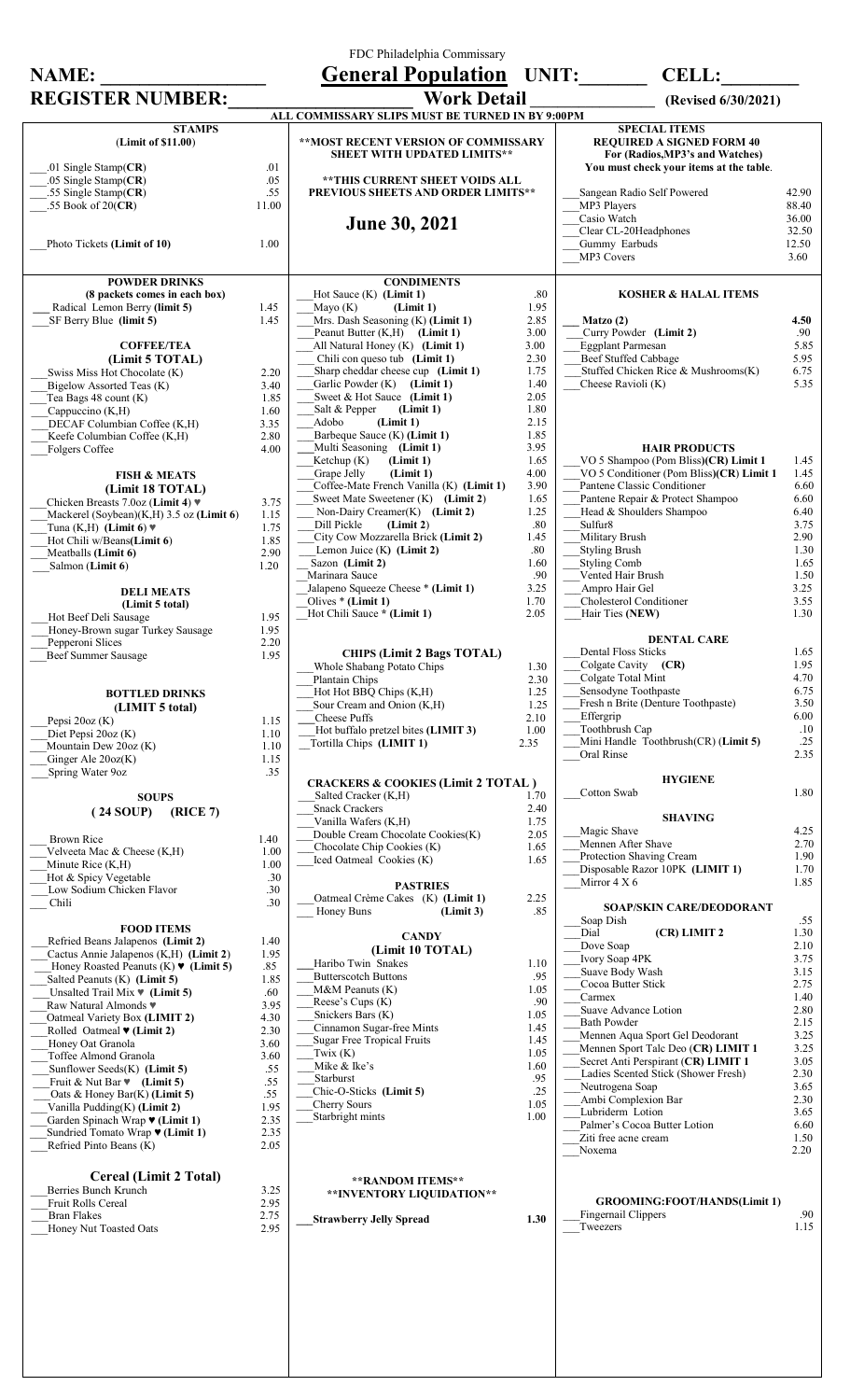| NAME:                                                                             |              | FDC Philadelphia Commissary<br><b>General Population UNIT:</b>                 |              | <b>CELL:</b>                                                               |                |
|-----------------------------------------------------------------------------------|--------------|--------------------------------------------------------------------------------|--------------|----------------------------------------------------------------------------|----------------|
| <b>REGISTER NUMBER:</b>                                                           |              | <b>Work Detail</b>                                                             |              | (Revised 6/30/2021)                                                        |                |
| <b>STAMPS</b>                                                                     |              | ALL COMMISSARY SLIPS MUST BE TURNED IN BY 9:00PM                               |              | <b>SPECIAL ITEMS</b>                                                       |                |
| (Limit of \$11.00)                                                                |              | **MOST RECENT VERSION OF COMMISSARY<br><b>SHEET WITH UPDATED LIMITS**</b>      |              | <b>REQUIRED A SIGNED FORM 40</b><br>For (Radios, MP3's and Watches)        |                |
| .01 Single Stamp $(CR)$<br>.05 Single Stamp $(CR)$                                | .01<br>.05   | <b>**THIS CURRENT SHEET VOIDS ALL</b>                                          |              | You must check your items at the table.                                    |                |
| .55 Single Stamp(CR)                                                              | .55          | <b>PREVIOUS SHEETS AND ORDER LIMITS**</b>                                      |              | Sangean Radio Self Powered                                                 | 42.90          |
| .55 Book of $20(CR)$                                                              | 11.00        |                                                                                |              | MP3 Players<br>Casio Watch                                                 | 88.40<br>36.00 |
|                                                                                   |              | <b>June 30, 2021</b>                                                           |              | Clear CL-20Headphones                                                      | 32.50          |
| Photo Tickets (Limit of 10)                                                       | 1.00         |                                                                                |              | Gummy Earbuds<br>MP3 Covers                                                | 12.50<br>3.60  |
| <b>POWDER DRINKS</b>                                                              |              | <b>CONDIMENTS</b>                                                              |              |                                                                            |                |
| (8 packets comes in each box)<br>Radical Lemon Berry (limit 5)                    | 1.45         | Hot Sauce (K) (Limit 1)<br>(Limit 1)                                           | .80<br>1.95  | <b>KOSHER &amp; HALAL ITEMS</b>                                            |                |
| SF Berry Blue (limit 5)                                                           | 1.45         | Mayo(K)<br>Mrs. Dash Seasoning (K) (Limit 1)                                   | 2.85         | Matzo $(2)$                                                                | 4.50           |
|                                                                                   |              | Peanut Butter (K,H) (Limit 1)                                                  | 3.00         | Curry Powder (Limit 2)                                                     | .90            |
| <b>COFFEE/TEA</b><br>(Limit 5 TOTAL)                                              |              | All Natural Honey (K) (Limit 1)<br>Chili con queso tub (Limit 1)               | 3.00<br>2.30 | <b>Eggplant Parmesan</b><br>Beef Stuffed Cabbage                           | 5.85<br>5.95   |
| Swiss Miss Hot Chocolate (K)                                                      | 2.20         | Sharp cheddar cheese cup (Limit 1)                                             | 1.75         | Stuffed Chicken Rice & Mushrooms(K)                                        | 6.75           |
| Bigelow Assorted Teas (K)                                                         | 3.40         | Garlic Powder (K) (Limit 1)<br>Sweet & Hot Sauce (Limit 1)                     | 1.40<br>2.05 | Cheese Ravioli (K)                                                         | 5.35           |
| Tea Bags 48 count (K)<br>Cappuccino (K,H)                                         | 1.85<br>1.60 | (Limit 1)<br>Salt & Pepper                                                     | 1.80         |                                                                            |                |
| DECAF Columbian Coffee (K,H)                                                      | 3.35         | Adobo<br>(Limit 1)                                                             | 2.15         |                                                                            |                |
| Keefe Columbian Coffee (K,H)                                                      | 2.80         | Barbeque Sauce (K) (Limit 1)<br>Multi Seasoning (Limit 1)                      | 1.85<br>3.95 | <b>HAIR PRODUCTS</b>                                                       |                |
| Folgers Coffee                                                                    | 4.00         | Ketchup $(K)$<br>(Limit 1)                                                     | 1.65         | VO 5 Shampoo (Pom Bliss)(CR) Limit 1                                       | 1.45           |
| <b>FISH &amp; MEATS</b>                                                           |              | Grape Jelly<br>(Limit 1)                                                       | 4.00         | VO 5 Conditioner (Pom Bliss)(CR) Limit 1                                   | 1.45           |
| (Limit 18 TOTAL)                                                                  |              | Coffee-Mate French Vanilla (K) (Limit 1)<br>Sweet Mate Sweetener (K) (Limit 2) | 3.90<br>1.65 | Pantene Classic Conditioner<br>Pantene Repair & Protect Shampoo            | 6.60<br>6.60   |
| Chicken Breasts 7.0oz (Limit 4) \<br>Mackerel (Soybean)(K,H) 3.5 oz (Limit 6)     | 3.75<br>1.15 | Non-Dairy Creamer $(K)$ (Limit 2)                                              | 1.25         | Head & Shoulders Shampoo                                                   | 6.40           |
| Tuna (K,H) (Limit 6) $\blacktriangledown$                                         | 1.75         | (Limit 2)<br>Dill Pickle                                                       | $.80\,$      | Sulfur <sub>8</sub>                                                        | 3.75           |
| Hot Chili w/Beans(Limit 6)                                                        | 1.85         | City Cow Mozzarella Brick (Limit 2)<br>Lemon Juice (K) (Limit 2)               | 1.45<br>.80  | Military Brush<br><b>Styling Brush</b>                                     | 2.90<br>1.30   |
| Meatballs (Limit 6)<br>Salmon (Limit 6)                                           | 2.90<br>1.20 | Sazon (Limit 2)                                                                | 1.60         | <b>Styling Comb</b>                                                        | 1.65           |
|                                                                                   |              | Marinara Sauce                                                                 | .90          | Vented Hair Brush                                                          | 1.50           |
| <b>DELIMEATS</b>                                                                  |              | Jalapeno Squeeze Cheese * (Limit 1)<br>Olives $*$ (Limit 1)                    | 3.25<br>1.70 | Ampro Hair Gel<br>Cholesterol Conditioner                                  | 3.25<br>3.55   |
| (Limit 5 total)<br>Hot Beef Deli Sausage                                          | 1.95         | Hot Chili Sauce * (Limit 1)                                                    | 2.05         | Hair Ties (NEW)                                                            | 1.30           |
| Honey-Brown sugar Turkey Sausage                                                  | 1.95         |                                                                                |              |                                                                            |                |
| Pepperoni Slices<br><b>Beef Summer Sausage</b>                                    | 2.20<br>1.95 | <b>CHIPS (Limit 2 Bags TOTAL)</b>                                              |              | <b>DENTAL CARE</b><br><b>Dental Floss Sticks</b>                           | 1.65           |
|                                                                                   |              | Whole Shabang Potato Chips                                                     | 1.30         | Colgate Cavity (CR)                                                        | 1.95           |
|                                                                                   |              | Plantain Chips                                                                 | 2.30         | Colgate Total Mint<br>Sensodyne Toothpaste                                 | 4.70           |
| <b>BOTTLED DRINKS</b><br>(LIMIT 5 total)                                          |              | Hot Hot BBQ Chips (K,H)<br>Sour Cream and Onion (K,H)                          | 1.25<br>1.25 | Fresh n Brite (Denture Toothpaste)                                         | 6.75<br>3.50   |
| Pepsi $20oz(K)$                                                                   | 1.15         | Cheese Puffs                                                                   | 2.10         | Effergrip                                                                  | 6.00           |
| Diet Pepsi 20oz (K)                                                               | 1.10         | Hot buffalo pretzel bites (LIMIT 3)                                            | 1.00         | Toothbrush Cap<br>Mini Handle Toothbrush(CR) (Limit 5)                     | $.10\,$<br>.25 |
| Mountain Dew 20oz (K)<br>Ginger Ale $20oz(K)$                                     | 1.10<br>1.15 | Tortilla Chips (LIMIT 1)                                                       | 2.35         | Oral Rinse                                                                 | 2.35           |
| Spring Water 9oz                                                                  | .35          |                                                                                |              | <b>HYGIENE</b>                                                             |                |
| <b>SOUPS</b>                                                                      |              | <b>CRACKERS &amp; COOKIES (Limit 2 TOTAL)</b><br>Salted Cracker (K,H)          | 1.70         | Cotton Swab                                                                | 1.80           |
| (24 SOUP)<br>(RICE 7)                                                             |              | <b>Snack Crackers</b>                                                          | 2.40         |                                                                            |                |
|                                                                                   |              | Vanilla Wafers (K,H)<br>Double Cream Chocolate Cookies(K)                      | 1.75<br>2.05 | <b>SHAVING</b><br>Magic Shave                                              | 4.25           |
| <b>Brown Rice</b><br>Velveeta Mac & Cheese (K,H)                                  | 1.40<br>1.00 | Chocolate Chip Cookies (K)                                                     | 1.65         | Mennen After Shave                                                         | 2.70           |
| Minute Rice (K,H)                                                                 | 1.00         | Iced Oatmeal Cookies (K)                                                       | 1.65         | Protection Shaving Cream                                                   | 1.90<br>1.70   |
| Hot & Spicy Vegetable                                                             | .30          | <b>PASTRIES</b>                                                                |              | Disposable Razor 10PK (LIMIT 1)<br>Mirror $4 \times 6$                     | 1.85           |
| Low Sodium Chicken Flavor<br>Chili                                                | .30<br>.30   | Oatmeal Crème Cakes (K) (Limit 1)                                              | 2.25         |                                                                            |                |
|                                                                                   |              | Honey Buns<br>(Limit 3)                                                        | .85          | <b>SOAP/SKIN CARE/DEODORANT</b><br>Soap Dish                               | .55            |
| <b>FOOD ITEMS</b>                                                                 |              | <b>CANDY</b>                                                                   |              | (CR) LIMIT 2<br>Dial                                                       | 1.30           |
| Refried Beans Jalapenos (Limit 2)<br>Cactus Annie Jalapenos (K,H) (Limit 2)       | 1.40<br>1.95 | (Limit 10 TOTAL)                                                               |              | Dove Soap                                                                  | 2.10           |
| Honey Roasted Peanuts (K) $\blacktriangledown$ (Limit 5)                          | .85          | Haribo Twin Snakes                                                             | 1.10         | Ivory Soap 4PK<br>Suave Body Wash                                          | 3.75<br>3.15   |
| Salted Peanuts (K) (Limit 5)<br>Unsalted Trail Mix $\blacktriangledown$ (Limit 5) | 1.85<br>.60  | <b>Butterscotch Buttons</b><br>M&M Peanuts (K)                                 | .95<br>1.05  | Cocoa Butter Stick                                                         | 2.75           |
| Raw Natural Almonds ♥                                                             | 3.95         | Reese's Cups (K)                                                               | .90          | Carmex                                                                     | 1.40           |
| Oatmeal Variety Box (LIMIT 2)                                                     | 4.30         | Snickers Bars (K)                                                              | 1.05         | Suave Advance Lotion<br><b>Bath Powder</b>                                 | 2.80<br>2.15   |
| Rolled Oatmeal $\Psi$ (Limit 2)<br>Honey Oat Granola                              | 2.30         | Cinnamon Sugar-free Mints<br>Sugar Free Tropical Fruits                        | 1.45<br>1.45 | Mennen Aqua Sport Gel Deodorant                                            | 3.25           |
| Toffee Almond Granola                                                             | 3.60<br>3.60 | Twix $(K)$                                                                     | 1.05         | Mennen Sport Talc Deo (CR) LIMIT 1                                         | 3.25           |
| Sunflower Seeds(K) (Limit 5)                                                      | .55          | Mike & Ike's                                                                   | 1.60         | Secret Anti Perspirant (CR) LIMIT 1<br>Ladies Scented Stick (Shower Fresh) | 3.05<br>2.30   |
| Fruit & Nut Bar $\mathbf{\mathsf{v}}$ (Limit 5)<br>Oats & Honey Bar(K) (Limit 5)  | .55<br>.55   | Starburst<br>Chic-O-Sticks (Limit 5)                                           | .95<br>.25   | Neutrogena Soap                                                            | 3.65           |
| Vanilla Pudding(K) (Limit 2)                                                      | 1.95         | <b>Cherry Sours</b>                                                            | 1.05         | Ambi Complexion Bar<br>Lubriderm Lotion                                    | 2.30<br>3.65   |
| Garden Spinach Wrap $\Psi$ (Limit 1)                                              | 2.35         | Starbright mints                                                               | 1.00         | Palmer's Cocoa Butter Lotion                                               | 6.60           |
| Sundried Tomato Wrap ♥ (Limit 1)<br>Refried Pinto Beans (K)                       | 2.35<br>2.05 |                                                                                |              | Ziti free acne cream<br>Noxema                                             | 1.50<br>2.20   |
|                                                                                   |              |                                                                                |              |                                                                            |                |
| <b>Cereal (Limit 2 Total)</b><br>Berries Bunch Krunch                             | 3.25         | ** RANDOM ITEMS**                                                              |              |                                                                            |                |
| Fruit Rolls Cereal                                                                | 2.95         | **INVENTORY LIQUIDATION**                                                      |              | <b>GROOMING:FOOT/HANDS(Limit 1)</b>                                        |                |
| <b>Bran Flakes</b>                                                                | 2.75         | <b>Strawberry Jelly Spread</b>                                                 | 1.30         | Fingernail Clippers<br>Tweezers                                            | .90<br>1.15    |
| Honey Nut Toasted Oats                                                            | 2.95         |                                                                                |              |                                                                            |                |
|                                                                                   |              |                                                                                |              |                                                                            |                |
|                                                                                   |              |                                                                                |              |                                                                            |                |
|                                                                                   |              |                                                                                |              |                                                                            |                |
|                                                                                   |              |                                                                                |              |                                                                            |                |
|                                                                                   |              |                                                                                |              |                                                                            |                |
|                                                                                   |              |                                                                                |              |                                                                            |                |
|                                                                                   |              |                                                                                |              |                                                                            |                |